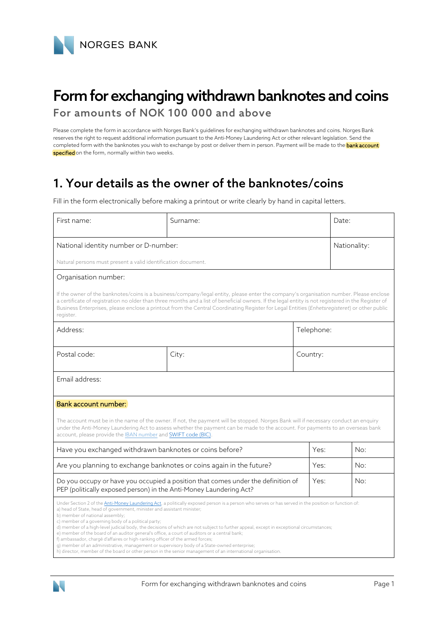

# Form for exchanging withdrawn banknotes and coins

For amounts of NOK 100 000 and above

Please complete the form in accordance with Norges Bank's guidelines for exchanging withdrawn banknotes and coins. Norges Bank reserves the right to request additional information pursuant to the Anti-Money Laundering Act or other relevant legislation. Send the completed form with the banknotes you wish to exchange by post or deliver them in person. Payment will be made to the **bank account** specified on the form, normally within two weeks.

# 1. Your details as the owner of the banknotes/coins

Fill in the form electronically before making a printout or write clearly by hand in capital letters.

| First name:                                                                                                                                                                                                                                                                                                                                                                                                                                                                                                                                                                                                                                                                                                                                                                                                                                                        | Surname: |          | Date:        |     |  |
|--------------------------------------------------------------------------------------------------------------------------------------------------------------------------------------------------------------------------------------------------------------------------------------------------------------------------------------------------------------------------------------------------------------------------------------------------------------------------------------------------------------------------------------------------------------------------------------------------------------------------------------------------------------------------------------------------------------------------------------------------------------------------------------------------------------------------------------------------------------------|----------|----------|--------------|-----|--|
| National identity number or D-number:                                                                                                                                                                                                                                                                                                                                                                                                                                                                                                                                                                                                                                                                                                                                                                                                                              |          |          | Nationality: |     |  |
| Natural persons must present a valid identification document.                                                                                                                                                                                                                                                                                                                                                                                                                                                                                                                                                                                                                                                                                                                                                                                                      |          |          |              |     |  |
| Organisation number:                                                                                                                                                                                                                                                                                                                                                                                                                                                                                                                                                                                                                                                                                                                                                                                                                                               |          |          |              |     |  |
| If the owner of the banknotes/coins is a business/company/legal entity, please enter the company's organisation number. Please enclose<br>a certificate of registration no older than three months and a list of beneficial owners. If the legal entity is not registered in the Register of<br>Business Enterprises, please enclose a printout from the Central Coordinating Register for Legal Entities (Enhetsregisteret) or other public<br>register.                                                                                                                                                                                                                                                                                                                                                                                                          |          |          |              |     |  |
| Address:                                                                                                                                                                                                                                                                                                                                                                                                                                                                                                                                                                                                                                                                                                                                                                                                                                                           |          |          | Telephone:   |     |  |
| Postal code:                                                                                                                                                                                                                                                                                                                                                                                                                                                                                                                                                                                                                                                                                                                                                                                                                                                       | City:    | Country: |              |     |  |
| Email address:                                                                                                                                                                                                                                                                                                                                                                                                                                                                                                                                                                                                                                                                                                                                                                                                                                                     |          |          |              |     |  |
| <b>Bank account number:</b>                                                                                                                                                                                                                                                                                                                                                                                                                                                                                                                                                                                                                                                                                                                                                                                                                                        |          |          |              |     |  |
| The account must be in the name of the owner. If not, the payment will be stopped. Norges Bank will if necessary conduct an enquiry<br>under the Anti-Money Laundering Act to assess whether the payment can be made to the account. For payments to an overseas bank<br>account, please provide the IBAN number and SWIFT code (BIC).                                                                                                                                                                                                                                                                                                                                                                                                                                                                                                                             |          |          |              |     |  |
| Have you exchanged withdrawn banknotes or coins before?                                                                                                                                                                                                                                                                                                                                                                                                                                                                                                                                                                                                                                                                                                                                                                                                            |          |          |              | No: |  |
| Are you planning to exchange banknotes or coins again in the future?                                                                                                                                                                                                                                                                                                                                                                                                                                                                                                                                                                                                                                                                                                                                                                                               |          |          |              | No: |  |
| Do you occupy or have you occupied a position that comes under the definition of<br>PEP (politically exposed person) in the Anti-Money Laundering Act?                                                                                                                                                                                                                                                                                                                                                                                                                                                                                                                                                                                                                                                                                                             |          |          |              | No: |  |
| Under Section 2 of the Anti-Money Laundering Act, a politically exposed person is a person who serves or has served in the position or function of:<br>a) head of State, head of government, minister and assistant minister;<br>b) member of national assembly;<br>c) member of a governing body of a political party;<br>d) member of a high-level judicial body, the decisions of which are not subject to further appeal, except in exceptional circumstances;<br>e) member of the board of an auditor general's office, a court of auditors or a central bank;<br>f) ambassador, chargé d'affaires or high-ranking officer of the armed forces;<br>q) member of an administrative, management or supervisory body of a State-owned enterprise;<br>h) director, member of the board or other person in the senior management of an international organisation. |          |          |              |     |  |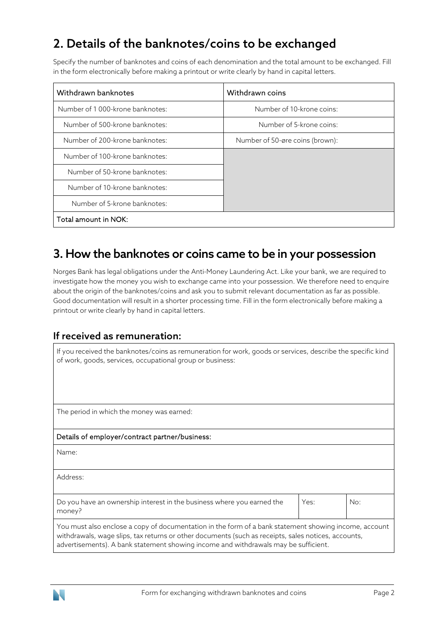# 2. Details of the banknotes/coins to be exchanged

Specify the number of banknotes and coins of each denomination and the total amount to be exchanged. Fill in the form electronically before making a printout or write clearly by hand in capital letters.

| Withdrawn banknotes             | Withdrawn coins                 |  |
|---------------------------------|---------------------------------|--|
| Number of 1000-krone banknotes: | Number of 10-krone coins:       |  |
| Number of 500-krone banknotes:  | Number of 5-krone coins:        |  |
| Number of 200-krone banknotes:  | Number of 50-øre coins (brown): |  |
| Number of 100-krone banknotes:  |                                 |  |
| Number of 50-krone banknotes:   |                                 |  |
| Number of 10-krone banknotes:   |                                 |  |
| Number of 5-krone banknotes:    |                                 |  |
| Total amount in NOK:            |                                 |  |

# 3. How the banknotes or coins came to be in your possession

Norges Bank has legal obligations under the Anti-Money Laundering Act. Like your bank, we are required to investigate how the money you wish to exchange came into your possession. We therefore need to enquire about the origin of the banknotes/coins and ask you to submit relevant documentation as far as possible. Good documentation will result in a shorter processing time. Fill in the form electronically before making a printout or write clearly by hand in capital letters.

### If received as remuneration:

If you received the banknotes/coins as remuneration for work, goods or services, describe the specific kind of work, goods, services, occupational group or business:

The period in which the money was earned:

#### Details of employer/contract partner/business:

Name:

Address:

Do you have an ownership interest in the business where you earned the money? Yes: **No:** 

You must also enclose a copy of documentation in the form of a bank statement showing income, account withdrawals, wage slips, tax returns or other documents (such as receipts, sales notices, accounts, advertisements). A bank statement showing income and withdrawals may be sufficient.